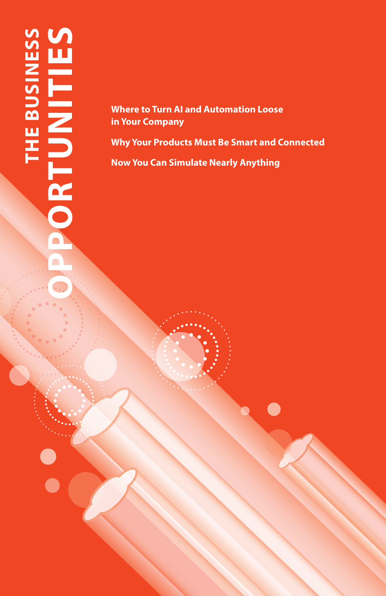# **THE BUSINESS<br>ORTUNITIES OPPORTUNITIES THE BUSINESS**  $\Box$

**Where to Turn AI and Automation Loose in Your Company**

**Why Your Products Must Be Smart and Connected Now You Can Simulate Nearly Anything**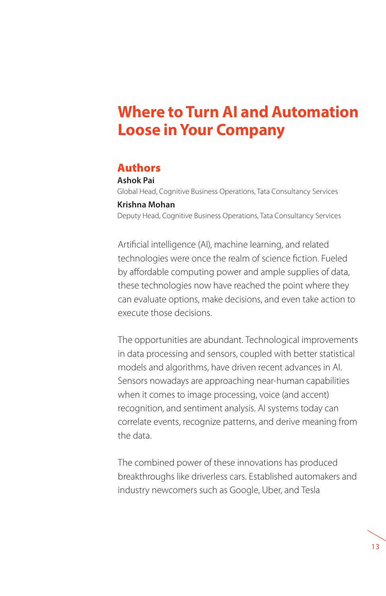# **Where to Turn AI and Automation Loose in Your Company**

#### Authors

**Ashok Pai** Global Head, Cognitive Business Operations, Tata Consultancy Services **Krishna Mohan** Deputy Head, Cognitive Business Operations, Tata Consultancy Services

Artificial intelligence (AI), machine learning, and related technologies were once the realm of science fiction. Fueled by affordable computing power and ample supplies of data, these technologies now have reached the point where they can evaluate options, make decisions, and even take action to execute those decisions.

The opportunities are abundant. Technological improvements in data processing and sensors, coupled with better statistical models and algorithms, have driven recent advances in AI. Sensors nowadays are approaching near-human capabilities when it comes to image processing, voice (and accent) recognition, and sentiment analysis. AI systems today can correlate events, recognize patterns, and derive meaning from the data.

The combined power of these innovations has produced breakthroughs like driverless cars. Established automakers and industry newcomers such as Google, Uber, and Tesla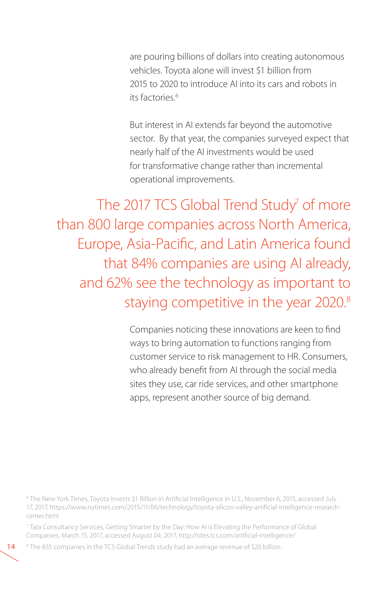are pouring billions of dollars into creating autonomous vehicles. Toyota alone will invest \$1 billion from 2015 to 2020 to introduce AI into its cars and robots in its factories.<sup>6</sup>

But interest in AI extends far beyond the automotive sector. By that year, the companies surveyed expect that nearly half of the AI investments would be used for transformative change rather than incremental operational improvements.

The 2017 TCS Global Trend Study<sup>7</sup> of more than 800 large companies across North America, Europe, Asia-Pacific, and Latin America found that 84% companies are using AI already, and 62% see the technology as important to staying competitive in the year 2020.<sup>8</sup>

> Companies noticing these innovations are keen to find ways to bring automation to functions ranging from customer service to risk management to HR. Consumers, who already benefit from AI through the social media sites they use, car ride services, and other smartphone apps, represent another source of big demand.

6 The New York Times, Toyota Invests \$1 Billion in Artificial Intelligence in U.S., November 6, 2015, accessed July 17, 2017, https://www.nytimes.com/2015/11/06/technology/toyota-silicon-valley-artificial-intelligence-researchcenter.html

7 Tata Consultancy Services, Getting Smarter by the Day: How AI is Elevating the Performance of Global Companies, March 15, 2017, accessed August 04, 2017, http://sites.tcs.com/artificial-intelligence/

<sup>8</sup> The 835 companies in the TCS Global Trends study had an average revenue of \$20 billion.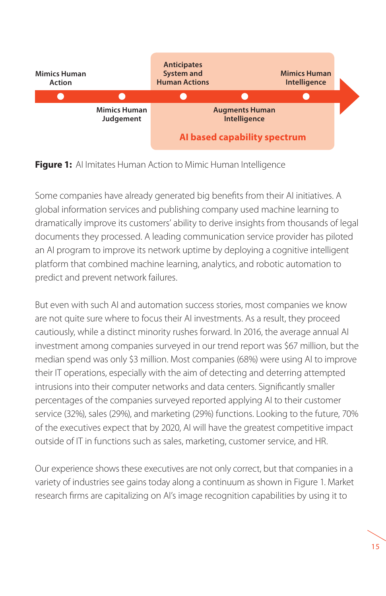

**Figure 1:** AI Imitates Human Action to Mimic Human Intelligence

Some companies have already generated big benefits from their AI initiatives. A global information services and publishing company used machine learning to dramatically improve its customers' ability to derive insights from thousands of legal documents they processed. A leading communication service provider has piloted an AI program to improve its network uptime by deploying a cognitive intelligent platform that combined machine learning, analytics, and robotic automation to predict and prevent network failures.

But even with such AI and automation success stories, most companies we know are not quite sure where to focus their AI investments. As a result, they proceed cautiously, while a distinct minority rushes forward. In 2016, the average annual AI investment among companies surveyed in our trend report was \$67 million, but the median spend was only \$3 million. Most companies (68%) were using AI to improve their IT operations, especially with the aim of detecting and deterring attempted intrusions into their computer networks and data centers. Significantly smaller percentages of the companies surveyed reported applying AI to their customer service (32%), sales (29%), and marketing (29%) functions. Looking to the future, 70% of the executives expect that by 2020, AI will have the greatest competitive impact outside of IT in functions such as sales, marketing, customer service, and HR.

Our experience shows these executives are not only correct, but that companies in a variety of industries see gains today along a continuum as shown in Figure 1. Market research firms are capitalizing on AI's image recognition capabilities by using it to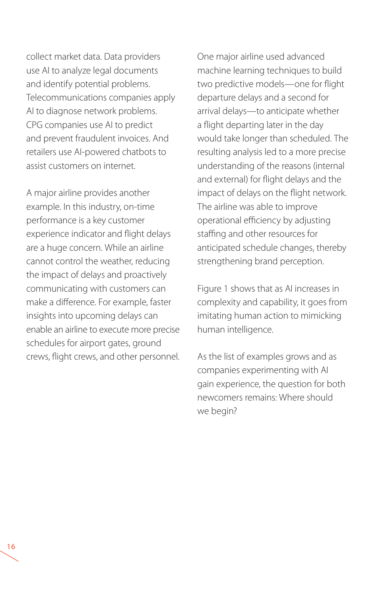collect market data. Data providers use AI to analyze legal documents and identify potential problems. Telecommunications companies apply AI to diagnose network problems. CPG companies use AI to predict and prevent fraudulent invoices. And retailers use AI-powered chatbots to assist customers on internet.

A major airline provides another example. In this industry, on-time performance is a key customer experience indicator and flight delays are a huge concern. While an airline cannot control the weather, reducing the impact of delays and proactively communicating with customers can make a difference. For example, faster insights into upcoming delays can enable an airline to execute more precise schedules for airport gates, ground crews, flight crews, and other personnel. One major airline used advanced machine learning techniques to build two predictive models—one for flight departure delays and a second for arrival delays—to anticipate whether a flight departing later in the day would take longer than scheduled. The resulting analysis led to a more precise understanding of the reasons (internal and external) for flight delays and the impact of delays on the flight network. The airline was able to improve operational efficiency by adjusting staffing and other resources for anticipated schedule changes, thereby strengthening brand perception.

Figure 1 shows that as AI increases in complexity and capability, it goes from imitating human action to mimicking human intelligence.

As the list of examples grows and as companies experimenting with AI gain experience, the question for both newcomers remains: Where should we begin?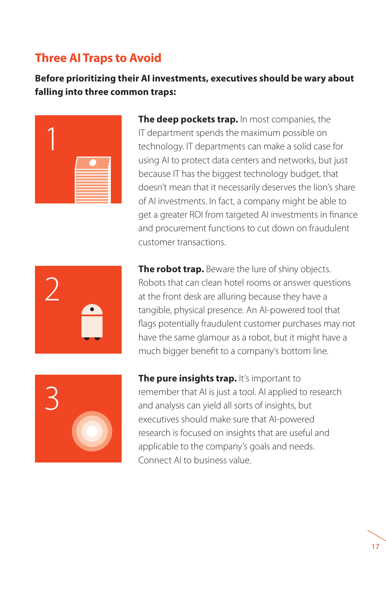## **Three AI Traps to Avoid**

**Before prioritizing their AI investments, executives should be wary about falling into three common traps:**



**The deep pockets trap.** In most companies, the IT department spends the maximum possible on technology. IT departments can make a solid case for using AI to protect data centers and networks, but just because IT has the biggest technology budget, that doesn't mean that it necessarily deserves the lion's share of AI investments. In fact, a company might be able to get a greater ROI from targeted AI investments in finance and procurement functions to cut down on fraudulent customer transactions.



**The robot trap.** Beware the lure of shiny objects. Robots that can clean hotel rooms or answer questions at the front desk are alluring because they have a tangible, physical presence. An AI-powered tool that flags potentially fraudulent customer purchases may not have the same glamour as a robot, but it might have a much bigger benefit to a company's bottom line.



**The pure insights trap.** It's important to remember that AI is just a tool. AI applied to research and analysis can yield all sorts of insights, but executives should make sure that AI-powered research is focused on insights that are useful and applicable to the company's goals and needs. Connect AI to business value.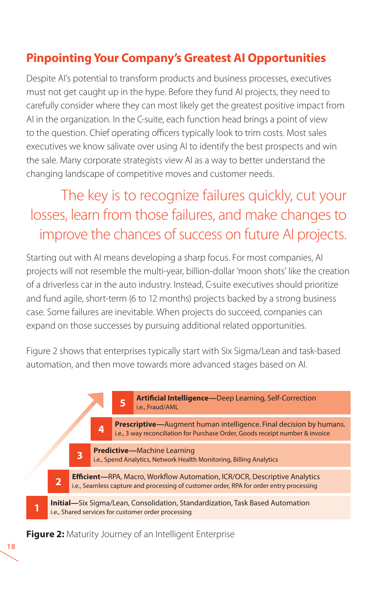## **Pinpointing Your Company's Greatest AI Opportunities**

Despite AI's potential to transform products and business processes, executives must not get caught up in the hype. Before they fund AI projects, they need to carefully consider where they can most likely get the greatest positive impact from AI in the organization. In the C-suite, each function head brings a point of view to the question. Chief operating officers typically look to trim costs. Most sales executives we know salivate over using AI to identify the best prospects and win the sale. Many corporate strategists view AI as a way to better understand the changing landscape of competitive moves and customer needs.

# The key is to recognize failures quickly, cut your losses, learn from those failures, and make changes to improve the chances of success on future AI projects.

Starting out with AI means developing a sharp focus. For most companies, AI projects will not resemble the multi-year, billion-dollar 'moon shots' like the creation of a driverless car in the auto industry. Instead, C-suite executives should prioritize and fund agile, short-term (6 to 12 months) projects backed by a strong business case. Some failures are inevitable. When projects do succeed, companies can expand on those successes by pursuing additional related opportunities.

Figure 2 shows that enterprises typically start with Six Sigma/Lean and task-based automation, and then move towards more advanced stages based on AI.



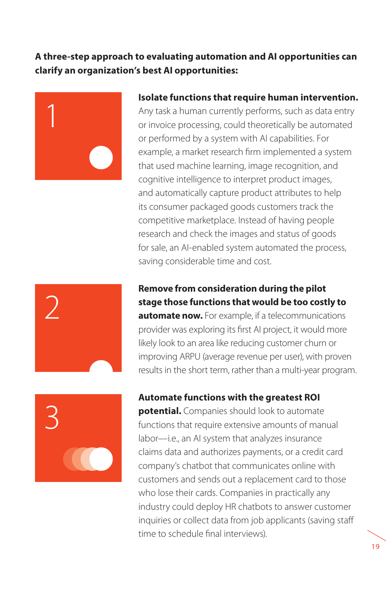#### **A three-step approach to evaluating automation and AI opportunities can clarify an organization's best AI opportunities:**



#### **Isolate functions that require human intervention.**

Any task a human currently performs, such as data entry or invoice processing, could theoretically be automated or performed by a system with AI capabilities. For example, a market research firm implemented a system that used machine learning, image recognition, and cognitive intelligence to interpret product images, and automatically capture product attributes to help its consumer packaged goods customers track the competitive marketplace. Instead of having people research and check the images and status of goods for sale, an AI-enabled system automated the process, saving considerable time and cost.



**Remove from consideration during the pilot stage those functions that would be too costly to automate now.** For example, if a telecommunications provider was exploring its first AI project, it would more likely look to an area like reducing customer churn or improving ARPU (average revenue per user), with proven results in the short term, rather than a multi-year program.



#### **Automate functions with the greatest ROI**

**potential.** Companies should look to automate functions that require extensive amounts of manual labor—i.e., an AI system that analyzes insurance claims data and authorizes payments, or a credit card company's chatbot that communicates online with customers and sends out a replacement card to those who lose their cards. Companies in practically any industry could deploy HR chatbots to answer customer inquiries or collect data from job applicants (saving staff time to schedule final interviews).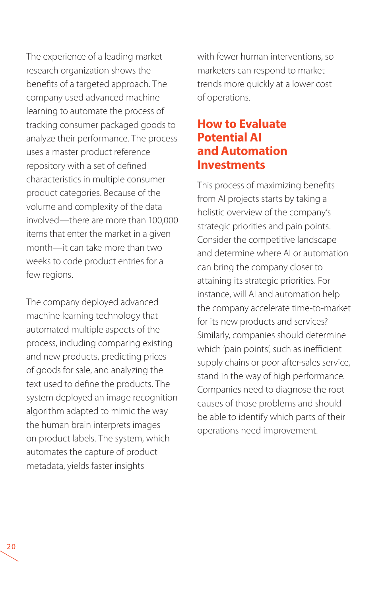The experience of a leading market research organization shows the benefits of a targeted approach. The company used advanced machine learning to automate the process of tracking consumer packaged goods to analyze their performance. The process uses a master product reference repository with a set of defined characteristics in multiple consumer product categories. Because of the volume and complexity of the data involved—there are more than 100,000 items that enter the market in a given month—it can take more than two weeks to code product entries for a few regions.

The company deployed advanced machine learning technology that automated multiple aspects of the process, including comparing existing and new products, predicting prices of goods for sale, and analyzing the text used to define the products. The system deployed an image recognition algorithm adapted to mimic the way the human brain interprets images on product labels. The system, which automates the capture of product metadata, yields faster insights

with fewer human interventions, so marketers can respond to market trends more quickly at a lower cost of operations.

### **How to Evaluate Potential AI and Automation Investments**

This process of maximizing benefits from AI projects starts by taking a holistic overview of the company's strategic priorities and pain points. Consider the competitive landscape and determine where AI or automation can bring the company closer to attaining its strategic priorities. For instance, will AI and automation help the company accelerate time-to-market for its new products and services? Similarly, companies should determine which 'pain points', such as inefficient supply chains or poor after-sales service, stand in the way of high performance. Companies need to diagnose the root causes of those problems and should be able to identify which parts of their operations need improvement.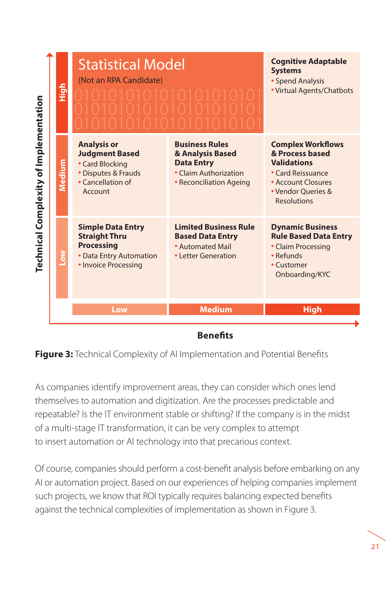

#### **Benefits**

As companies identify improvement areas, they can consider which ones lend themselves to automation and digitization. Are the processes predictable and repeatable? Is the IT environment stable or shifting? If the company is in the midst of a multi-stage IT transformation, it can be very complex to attempt to insert automation or AI technology into that precarious context.

Of course, companies should perform a cost-benefit analysis before embarking on any AI or automation project. Based on our experiences of helping companies implement such projects, we know that ROI typically requires balancing expected benefits against the technical complexities of implementation as shown in Figure 3.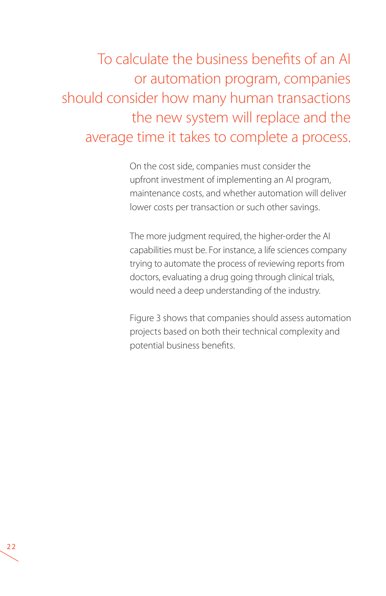To calculate the business benefits of an AI or automation program, companies should consider how many human transactions the new system will replace and the average time it takes to complete a process.

> On the cost side, companies must consider the upfront investment of implementing an AI program, maintenance costs, and whether automation will deliver lower costs per transaction or such other savings.

> The more judgment required, the higher-order the AI capabilities must be. For instance, a life sciences company trying to automate the process of reviewing reports from doctors, evaluating a drug going through clinical trials, would need a deep understanding of the industry.

Figure 3 shows that companies should assess automation projects based on both their technical complexity and potential business benefits.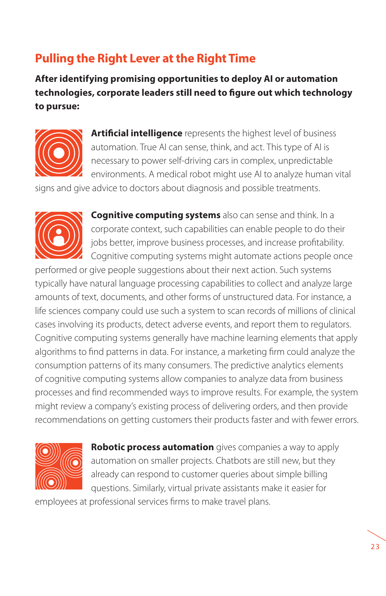## **Pulling the Right Lever at the Right Time**

**After identifying promising opportunities to deploy AI or automation technologies, corporate leaders still need to figure out which technology to pursue:**



**Artificial intelligence** represents the highest level of business automation. True AI can sense, think, and act. This type of AI is necessary to power self-driving cars in complex, unpredictable environments. A medical robot might use AI to analyze human vital

signs and give advice to doctors about diagnosis and possible treatments.



**Cognitive computing systems** also can sense and think. In a corporate context, such capabilities can enable people to do their jobs better, improve business processes, and increase profitability. Cognitive computing systems might automate actions people once

performed or give people suggestions about their next action. Such systems typically have natural language processing capabilities to collect and analyze large amounts of text, documents, and other forms of unstructured data. For instance, a life sciences company could use such a system to scan records of millions of clinical cases involving its products, detect adverse events, and report them to regulators. Cognitive computing systems generally have machine learning elements that apply algorithms to find patterns in data. For instance, a marketing firm could analyze the consumption patterns of its many consumers. The predictive analytics elements of cognitive computing systems allow companies to analyze data from business processes and find recommended ways to improve results. For example, the system might review a company's existing process of delivering orders, and then provide recommendations on getting customers their products faster and with fewer errors.



**Robotic process automation** gives companies a way to apply automation on smaller projects. Chatbots are still new, but they already can respond to customer queries about simple billing questions. Similarly, virtual private assistants make it easier for

employees at professional services firms to make travel plans.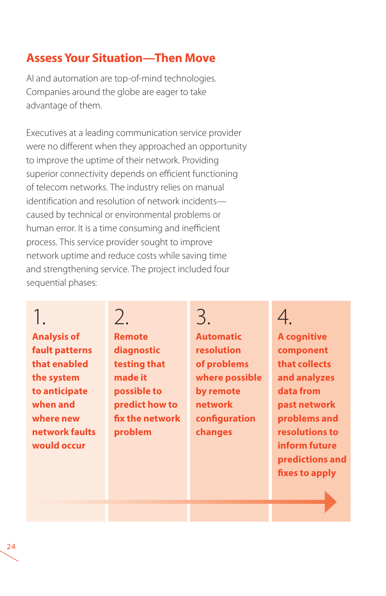## **Assess Your Situation—Then Move**

AI and automation are top-of-mind technologies. Companies around the globe are eager to take advantage of them.

Executives at a leading communication service provider were no different when they approached an opportunity to improve the uptime of their network. Providing superior connectivity depends on efficient functioning of telecom networks. The industry relies on manual identification and resolution of network incidents caused by technical or environmental problems or human error. It is a time consuming and inefficient process. This service provider sought to improve network uptime and reduce costs while saving time and strengthening service. The project included four sequential phases:

# 1.

**Analysis of fault patterns that enabled the system to anticipate when and where new network faults would occur**

 $\mathcal{P}$ **Remote diagnostic testing that made it possible to predict how to fix the network problem**

## 3. **Automatic resolution of problems where possible by remote network configuration**

**changes**

# 4.

**A cognitive component that collects and analyzes data from past network problems and resolutions to inform future predictions and fixes to apply**